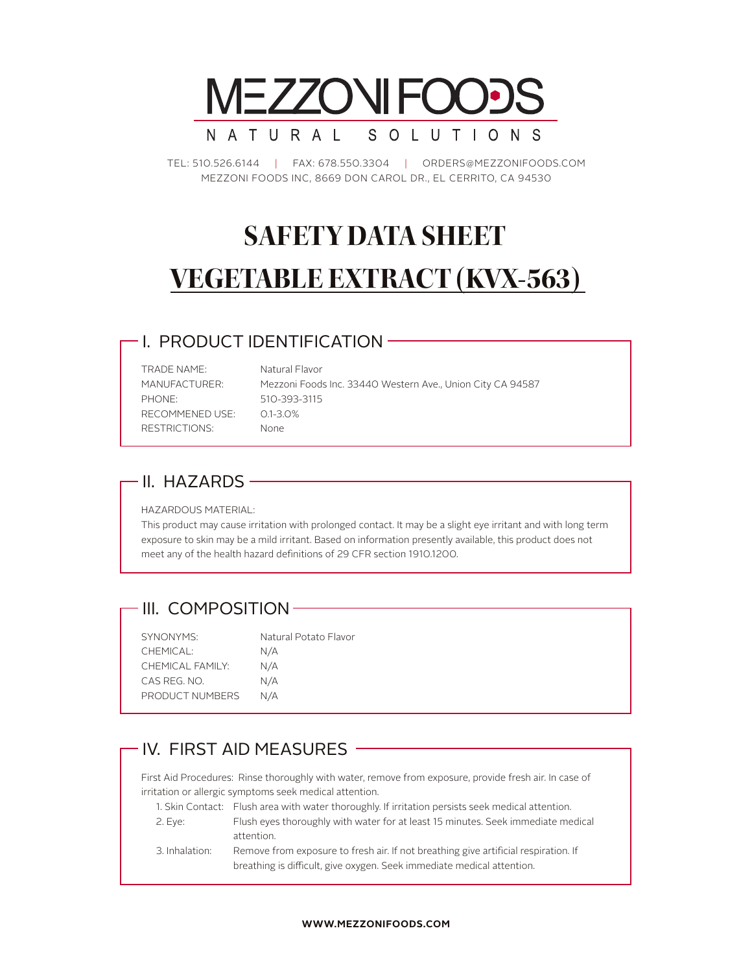

TEL: 510.526.6144 | FAX: 678.550.3304 | ORDERS@MEZZONIFOODS.COM MEZZONI FOODS INC, 8669 DON CAROL DR., EL CERRITO, CA 94530

# **SAFETY DATA SHEET VEGETABLE EXTRACT (KVX-563)**

#### I. PRODUCT IDENTIFICATION

TRADE NAME: Natural Flavor PHONE: 510-393-3115 RECOMMENED USE: 0.1-3.0% RESTRICTIONS: None

MANUFACTURER: Mezzoni Foods Inc. 33440 Western Ave., Union City CA 94587

#### - II. HAZARDS -

HAZARDOUS MATERIAL:

This product may cause irritation with prolonged contact. It may be a slight eye irritant and with long term exposure to skin may be a mild irritant. Based on information presently available, this product does not meet any of the health hazard definitions of 29 CFR section 1910.1200.

#### III. COMPOSITION-

| SYNONYMS:        | Natural Potato Flavor |
|------------------|-----------------------|
| CHEMICAL:        | N/A                   |
| CHEMICAL FAMILY: | N/A                   |
| CAS REG. NO.     | N/A                   |
| PRODUCT NUMBERS  | N/A                   |
|                  |                       |

### IV. FIRST AID MEASURES ——

First Aid Procedures: Rinse thoroughly with water, remove from exposure, provide fresh air. In case of irritation or allergic symptoms seek medical attention.

|                | 1. Skin Contact: Flush area with water thoroughly. If irritation persists seek medical attention. |  |
|----------------|---------------------------------------------------------------------------------------------------|--|
| 2. Eve:        | Flush eyes thoroughly with water for at least 15 minutes. Seek immediate medical                  |  |
|                | attention.                                                                                        |  |
| 3. Inhalation: | Remove from exposure to fresh air. If not breathing give artificial respiration. If               |  |
|                | breathing is difficult, give oxygen. Seek immediate medical attention.                            |  |

#### **WWW.MEZZONIFOODS.COM**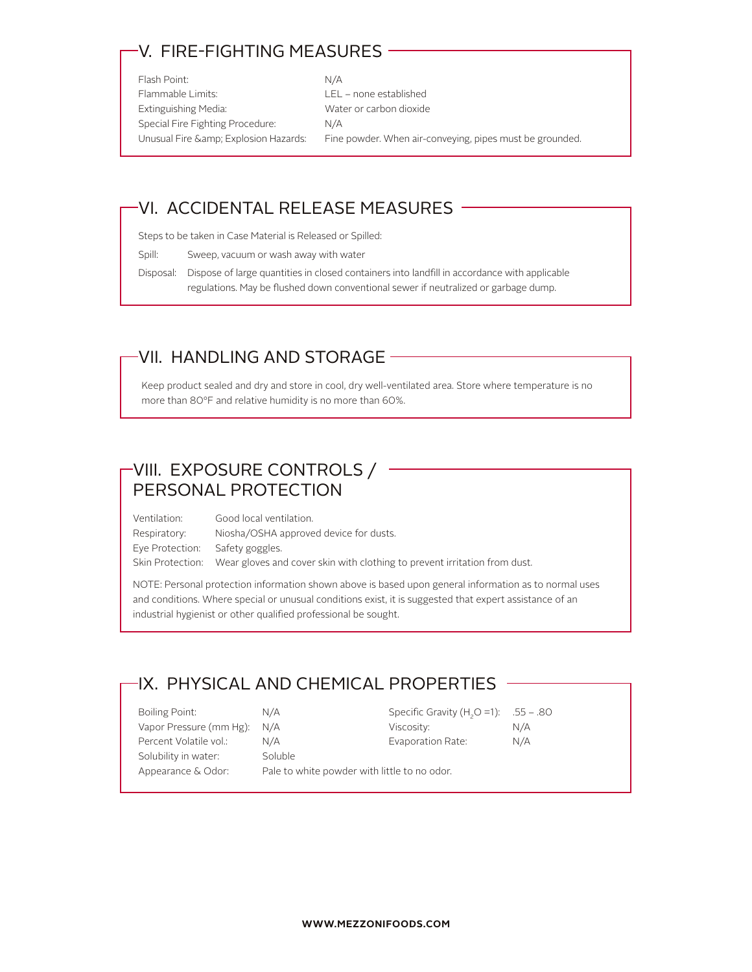## V. FIRE-FIGHTING MEASURES

Flash Point: N/A Flammable Limits: LEL – none established Extinguishing Media: Water or carbon dioxide Special Fire Fighting Procedure: N/A

Unusual Fire & amp; Explosion Hazards: Fine powder. When air-conveying, pipes must be grounded.

#### VI. ACCIDENTAL RELEASE MEASURES

Steps to be taken in Case Material is Released or Spilled:

Spill: Sweep, vacuum or wash away with water

Disposal: Dispose of large quantities in closed containers into landfill in accordance with applicable regulations. May be flushed down conventional sewer if neutralized or garbage dump.

#### VII. HANDLING AND STORAGE

Keep product sealed and dry and store in cool, dry well-ventilated area. Store where temperature is no more than 80°F and relative humidity is no more than 60%.

# VIII. EXPOSURE CONTROLS / PERSONAL PROTECTION

Ventilation: Good local ventilation. Respiratory: Niosha/OSHA approved device for dusts. Eye Protection: Safety goggles. Skin Protection: Wear gloves and cover skin with clothing to prevent irritation from dust.

NOTE: Personal protection information shown above is based upon general information as to normal uses and conditions. Where special or unusual conditions exist, it is suggested that expert assistance of an industrial hygienist or other qualified professional be sought.

### IX. PHYSICAL AND CHEMICAL PROPERTIES

| Boiling Point:              | N/A                                          | Specific Gravity (H <sub>2</sub> O =1): .55 - .80 |     |
|-----------------------------|----------------------------------------------|---------------------------------------------------|-----|
| Vapor Pressure (mm Hg): N/A |                                              | Viscosity:                                        | N/A |
| Percent Volatile vol.:      | N/A                                          | Evaporation Rate:                                 | N/A |
| Solubility in water:        | Soluble                                      |                                                   |     |
| Appearance & Odor:          | Pale to white powder with little to no odor. |                                                   |     |